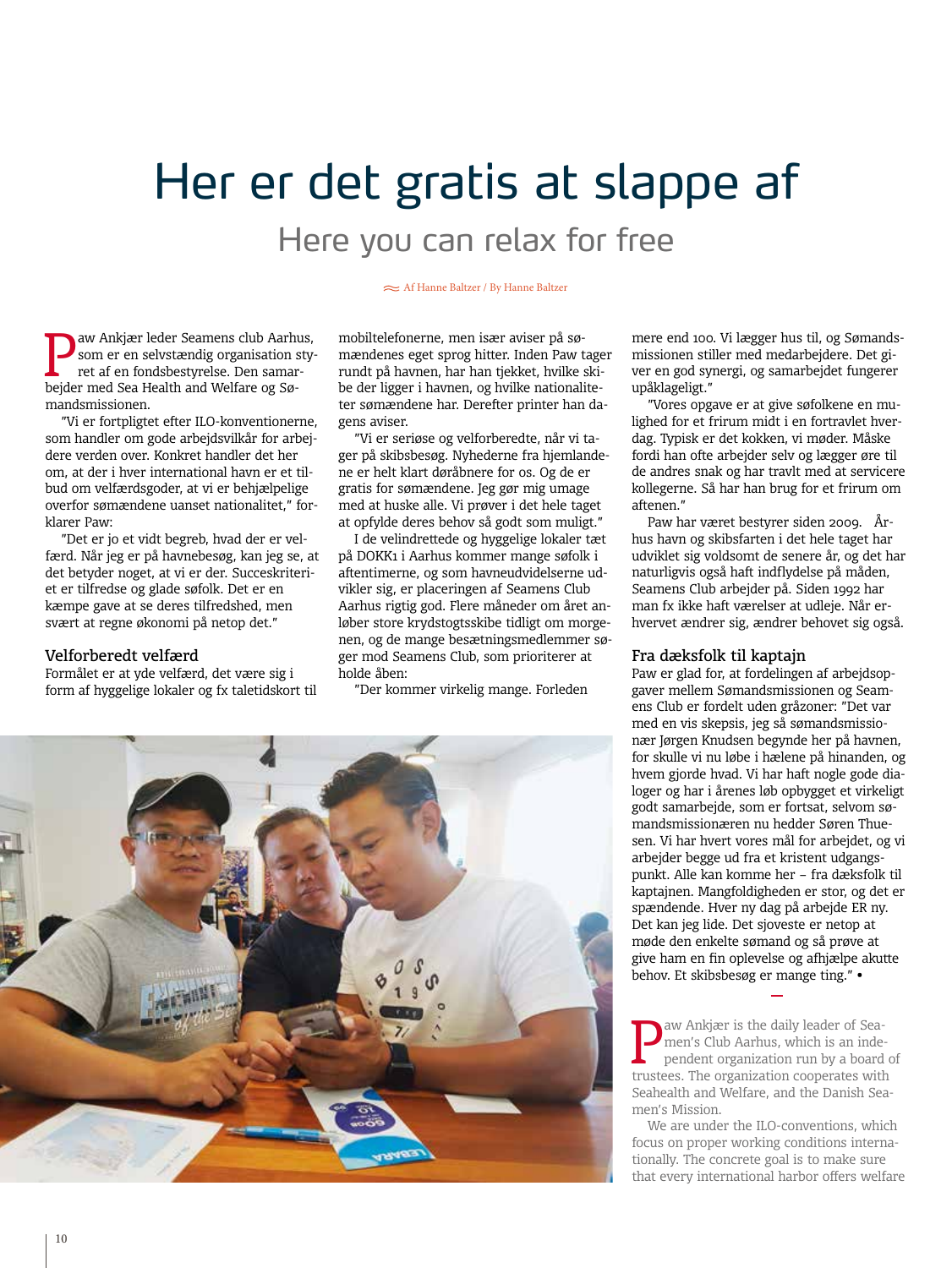# Her er det gratis at slappe af Here you can relax for free

#### Af Hanne Baltzer / By Hanne Baltzer

**P**aw Ankjær leder Seamens club Aarhus,<br>som er en selvstændig organisation sty-<br>ret af en fondsbestyrelse. Den samarsom er en selvstændig organisation styret af en fondsbestyrelse. Den samarbejder med Sea Health and Welfare og Sømandsmissionen.

"Vi er fortpligtet efter ILO-konventionerne, som handler om gode arbejdsvilkår for arbejdere verden over. Konkret handler det her om, at der i hver international havn er et tilbud om velfærdsgoder, at vi er behjælpelige overfor sømændene uanset nationalitet," forklarer Paw:

"Det er jo et vidt begreb, hvad der er velfærd. Når jeg er på havnebesøg, kan jeg se, at det betyder noget, at vi er der. Succeskriteriet er tilfredse og glade søfolk. Det er en kæmpe gave at se deres tilfredshed, men svært at regne økonomi på netop det."

## Velforberedt velfærd

Formålet er at yde velfærd, det være sig i form af hyggelige lokaler og fx taletidskort til mobiltelefonerne, men især aviser på sømændenes eget sprog hitter. Inden Paw tager rundt på havnen, har han tjekket, hvilke skibe der ligger i havnen, og hvilke nationaliteter sømændene har. Derefter printer han dagens aviser.

"Vi er seriøse og velforberedte, når vi tager på skibsbesøg. Nyhederne fra hjemlandene er helt klart døråbnere for os. Og de er gratis for sømændene. Jeg gør mig umage med at huske alle. Vi prøver i det hele taget at opfylde deres behov så godt som muligt."

I de velindrettede og hyggelige lokaler tæt på DOKK1 i Aarhus kommer mange søfolk i aftentimerne, og som havneudvidelserne udvikler sig, er placeringen af Seamens Club Aarhus rigtig god. Flere måneder om året anløber store krydstogtsskibe tidligt om morgenen, og de mange besætningsmedlemmer søger mod Seamens Club, som prioriterer at holde åben:

"Der kommer virkelig mange. Forleden



"Vores opgave er at give søfolkene en mulighed for et frirum midt i en fortravlet hverdag. Typisk er det kokken, vi møder. Måske fordi han ofte arbejder selv og lægger øre til de andres snak og har travlt med at servicere kollegerne. Så har han brug for et frirum om aftenen."

Paw har været bestyrer siden 2009. Århus havn og skibsfarten i det hele taget har udviklet sig voldsomt de senere år, og det har naturligvis også haft indflydelse på måden, Seamens Club arbejder på. Siden 1992 har man fx ikke haft værelser at udleje. Når erhvervet ændrer sig, ændrer behovet sig også.

### Fra dæksfolk til kaptajn

Paw er glad for, at fordelingen af arbejdsopgaver mellem Sømandsmissionen og Seamens Club er fordelt uden gråzoner: "Det var med en vis skepsis, jeg så sømandsmissionær Jørgen Knudsen begynde her på havnen, for skulle vi nu løbe i hælene på hinanden, og hvem gjorde hvad. Vi har haft nogle gode dialoger og har i årenes løb opbygget et virkeligt godt samarbejde, som er fortsat, selvom sømandsmissionæren nu hedder Søren Thuesen. Vi har hvert vores mål for arbejdet, og vi arbejder begge ud fra et kristent udgangspunkt. Alle kan komme her – fra dæksfolk til kaptajnen. Mangfoldigheden er stor, og det er spændende. Hver ny dag på arbejde ER ny. Det kan jeg lide. Det sjoveste er netop at møde den enkelte sømand og så prøve at give ham en fin oplevelse og afhjælpe akutte behov. Et skibsbesøg er mange ting." •

**P**aw Ankjær is the daily leader of Sea-<br>men's Club Aarhus, which is an inde<br>pendent organization run by a board men's Club Aarhus, which is an independent organization run by a board of trustees. The organization cooperates with Seahealth and Welfare, and the Danish Seamen's Mission.

We are under the ILO-conventions, which focus on proper working conditions internationally. The concrete goal is to make sure that every international harbor offers welfare